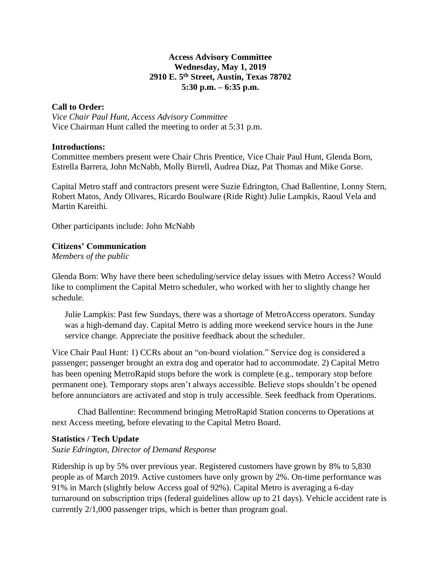#### **Access Advisory Committee Wednesday, May 1, 2019 2910 E. 5th Street, Austin, Texas 78702 5:30 p.m. – 6:35 p.m.**

#### **Call to Order:**

*Vice Chair Paul Hunt, Access Advisory Committee* Vice Chairman Hunt called the meeting to order at 5:31 p.m.

#### **Introductions:**

Committee members present were Chair Chris Prentice, Vice Chair Paul Hunt, Glenda Born, Estrella Barrera, John McNabb, Molly Birrell, Audrea Diaz, Pat Thomas and Mike Gorse.

Capital Metro staff and contractors present were Suzie Edrington, Chad Ballentine, Lonny Stern, Robert Matos, Andy Olivares, Ricardo Boulware (Ride Right) Julie Lampkis, Raoul Vela and Martin Kareithi.

Other participants include: John McNabb

# **Citizens' Communication**

*Members of the public*

Glenda Born: Why have there been scheduling/service delay issues with Metro Access? Would like to compliment the Capital Metro scheduler, who worked with her to slightly change her schedule.

Julie Lampkis: Past few Sundays, there was a shortage of MetroAccess operators. Sunday was a high-demand day. Capital Metro is adding more weekend service hours in the June service change. Appreciate the positive feedback about the scheduler.

Vice Chair Paul Hunt: 1) CCRs about an "on-board violation." Service dog is considered a passenger; passenger brought an extra dog and operator had to accommodate. 2) Capital Metro has been opening MetroRapid stops before the work is complete (e.g., temporary stop before permanent one). Temporary stops aren't always accessible. Believe stops shouldn't be opened before annunciators are activated and stop is truly accessible. Seek feedback from Operations.

Chad Ballentine: Recommend bringing MetroRapid Station concerns to Operations at next Access meeting, before elevating to the Capital Metro Board.

# **Statistics / Tech Update**

# *Suzie Edrington, Director of Demand Response*

Ridership is up by 5% over previous year. Registered customers have grown by 8% to 5,830 people as of March 2019. Active customers have only grown by 2%. On-time performance was 91% in March (slightly below Access goal of 92%). Capital Metro is averaging a 6-day turnaround on subscription trips (federal guidelines allow up to 21 days). Vehicle accident rate is currently 2/1,000 passenger trips, which is better than program goal.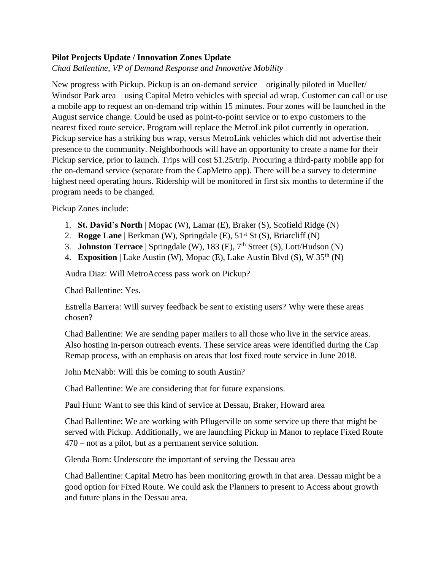# **Pilot Projects Update / Innovation Zones Update**

*Chad Ballentine, VP of Demand Response and Innovative Mobility*

New progress with Pickup. Pickup is an on-demand service – originally piloted in Mueller/ Windsor Park area – using Capital Metro vehicles with special ad wrap. Customer can call or use a mobile app to request an on-demand trip within 15 minutes. Four zones will be launched in the August service change. Could be used as point-to-point service or to expo customers to the nearest fixed route service. Program will replace the MetroLink pilot currently in operation. Pickup service has a striking bus wrap, versus MetroLink vehicles which did not advertise their presence to the community. Neighborhoods will have an opportunity to create a name for their Pickup service, prior to launch. Trips will cost \$1.25/trip. Procuring a third-party mobile app for the on-demand service (separate from the CapMetro app). There will be a survey to determine highest need operating hours. Ridership will be monitored in first six months to determine if the program needs to be changed.

Pickup Zones include:

- 1. **St. David's North** | Mopac (W), Lamar (E), Braker (S), Scofield Ridge (N)
- 2. **Rogge Lane** | Berkman (W), Springdale (E), 51<sup>st</sup> St (S), Briarcliff (N)
- 3. **Johnston Terrace** | Springdale (W), 183 (E), 7th Street (S), Lott/Hudson (N)
- 4. **Exposition** | Lake Austin (W), Mopac (E), Lake Austin Blvd (S), W 35<sup>th</sup> (N)

Audra Diaz: Will MetroAccess pass work on Pickup?

Chad Ballentine: Yes.

Estrella Barrera: Will survey feedback be sent to existing users? Why were these areas chosen?

Chad Ballentine: We are sending paper mailers to all those who live in the service areas. Also hosting in-person outreach events. These service areas were identified during the Cap Remap process, with an emphasis on areas that lost fixed route service in June 2018.

John McNabb: Will this be coming to south Austin?

Chad Ballentine: We are considering that for future expansions.

Paul Hunt: Want to see this kind of service at Dessau, Braker, Howard area

Chad Ballentine: We are working with Pflugerville on some service up there that might be served with Pickup. Additionally, we are launching Pickup in Manor to replace Fixed Route 470 – not as a pilot, but as a permanent service solution.

Glenda Born: Underscore the important of serving the Dessau area

Chad Ballentine: Capital Metro has been monitoring growth in that area. Dessau might be a good option for Fixed Route. We could ask the Planners to present to Access about growth and future plans in the Dessau area.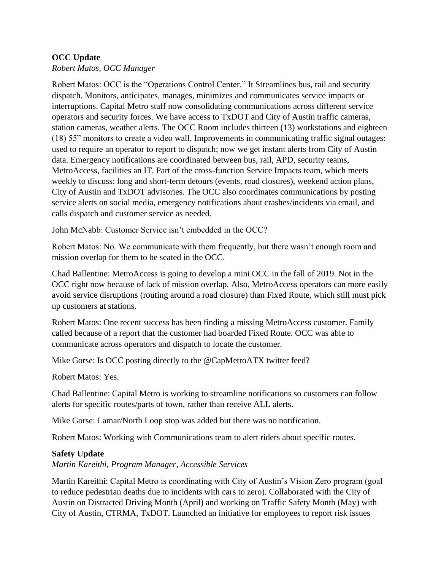# **OCC Update**

*Robert Matos, OCC Manager*

Robert Matos: OCC is the "Operations Control Center." It Streamlines bus, rail and security dispatch. Monitors, anticipates, manages, minimizes and communicates service impacts or interruptions. Capital Metro staff now consolidating communications across different service operators and security forces. We have access to TxDOT and City of Austin traffic cameras, station cameras, weather alerts. The OCC Room includes thirteen (13) workstations and eighteen (18) 55" monitors to create a video wall. Improvements in communicating traffic signal outages: used to require an operator to report to dispatch; now we get instant alerts from City of Austin data. Emergency notifications are coordinated between bus, rail, APD, security teams, MetroAccess, facilities an IT. Part of the cross-function Service Impacts team, which meets weekly to discuss: long and short-term detours (events, road closures), weekend action plans, City of Austin and TxDOT advisories. The OCC also coordinates communications by posting service alerts on social media, emergency notifications about crashes/incidents via email, and calls dispatch and customer service as needed.

John McNabb: Customer Service isn't embedded in the OCC?

Robert Matos: No. We communicate with them frequently, but there wasn't enough room and mission overlap for them to be seated in the OCC.

Chad Ballentine: MetroAccess is going to develop a mini OCC in the fall of 2019. Not in the OCC right now because of lack of mission overlap. Also, MetroAccess operators can more easily avoid service disruptions (routing around a road closure) than Fixed Route, which still must pick up customers at stations.

Robert Matos: One recent success has been finding a missing MetroAccess customer. Family called because of a report that the customer had boarded Fixed Route. OCC was able to communicate across operators and dispatch to locate the customer.

Mike Gorse: Is OCC posting directly to the @CapMetroATX twitter feed?

Robert Matos: Yes.

Chad Ballentine: Capital Metro is working to streamline notifications so customers can follow alerts for specific routes/parts of town, rather than receive ALL alerts.

Mike Gorse: Lamar/North Loop stop was added but there was no notification.

Robert Matos: Working with Communications team to alert riders about specific routes.

# **Safety Update**

*Martin Kareithi, Program Manager, Accessible Services*

Martin Kareithi: Capital Metro is coordinating with City of Austin's Vision Zero program (goal to reduce pedestrian deaths due to incidents with cars to zero). Collaborated with the City of Austin on Distracted Driving Month (April) and working on Traffic Safety Month (May) with City of Austin, CTRMA, TxDOT. Launched an initiative for employees to report risk issues